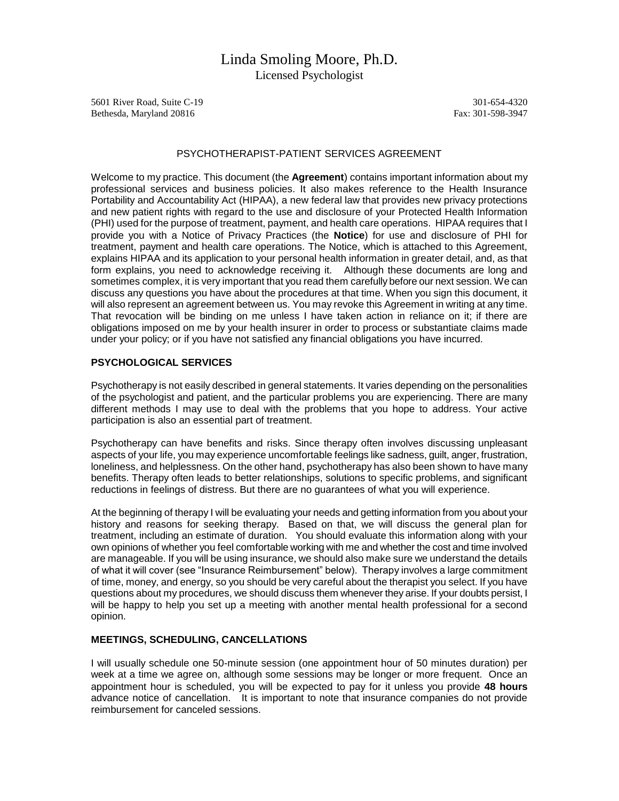# Linda Smoling Moore, Ph.D. Licensed Psychologist

5601 River Road, Suite C-19 301-654-4320 Bethesda, Maryland 20816 Fax: 301-598-3947

# PSYCHOTHERAPIST-PATIENT SERVICES AGREEMENT

Welcome to my practice. This document (the **Agreement**) contains important information about my professional services and business policies. It also makes reference to the Health Insurance Portability and Accountability Act (HIPAA), a new federal law that provides new privacy protections and new patient rights with regard to the use and disclosure of your Protected Health Information (PHI) used for the purpose of treatment, payment, and health care operations. HIPAA requires that I provide you with a Notice of Privacy Practices (the **Notice**) for use and disclosure of PHI for treatment, payment and health care operations. The Notice, which is attached to this Agreement, explains HIPAA and its application to your personal health information in greater detail, and, as that form explains, you need to acknowledge receiving it. Although these documents are long and sometimes complex, it is very important that you read them carefully before our next session. We can discuss any questions you have about the procedures at that time. When you sign this document, it will also represent an agreement between us. You may revoke this Agreement in writing at any time. That revocation will be binding on me unless I have taken action in reliance on it; if there are obligations imposed on me by your health insurer in order to process or substantiate claims made under your policy; or if you have not satisfied any financial obligations you have incurred.

# **PSYCHOLOGICAL SERVICES**

Psychotherapy is not easily described in general statements. It varies depending on the personalities of the psychologist and patient, and the particular problems you are experiencing. There are many different methods I may use to deal with the problems that you hope to address. Your active participation is also an essential part of treatment.

Psychotherapy can have benefits and risks. Since therapy often involves discussing unpleasant aspects of your life, you may experience uncomfortable feelings like sadness, guilt, anger, frustration, loneliness, and helplessness. On the other hand, psychotherapy has also been shown to have many benefits. Therapy often leads to better relationships, solutions to specific problems, and significant reductions in feelings of distress. But there are no guarantees of what you will experience.

At the beginning of therapy I will be evaluating your needs and getting information from you about your history and reasons for seeking therapy. Based on that, we will discuss the general plan for treatment, including an estimate of duration. You should evaluate this information along with your own opinions of whether you feel comfortable working with me and whether the cost and time involved are manageable. If you will be using insurance, we should also make sure we understand the details of what it will cover (see "Insurance Reimbursement" below). Therapy involves a large commitment of time, money, and energy, so you should be very careful about the therapist you select. If you have questions about my procedures, we should discuss them whenever they arise. If your doubts persist, I will be happy to help you set up a meeting with another mental health professional for a second opinion.

# **MEETINGS, SCHEDULING, CANCELLATIONS**

I will usually schedule one 50-minute session (one appointment hour of 50 minutes duration) per week at a time we agree on, although some sessions may be longer or more frequent. Once an appointment hour is scheduled, you will be expected to pay for it unless you provide **48 hours** advance notice of cancellation. It is important to note that insurance companies do not provide reimbursement for canceled sessions.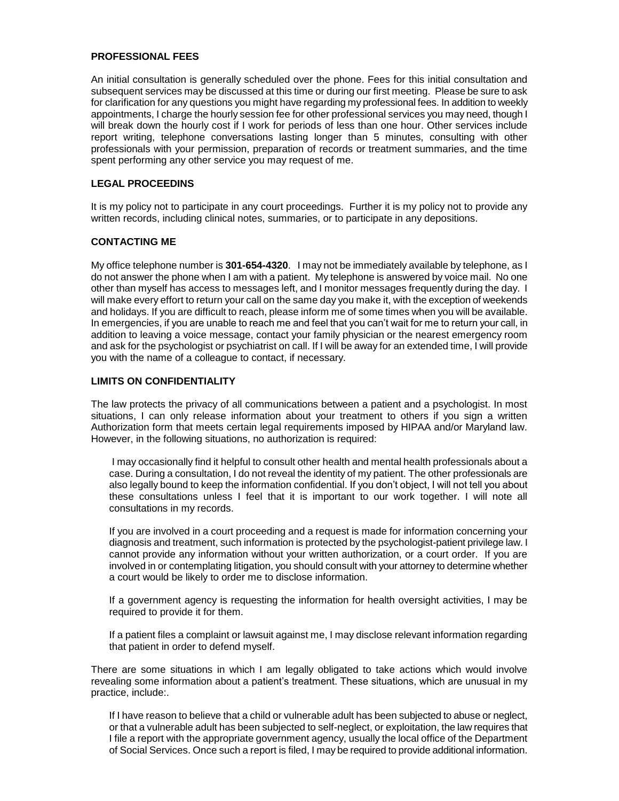# **PROFESSIONAL FEES**

An initial consultation is generally scheduled over the phone. Fees for this initial consultation and subsequent services may be discussed at this time or during our first meeting. Please be sure to ask for clarification for any questions you might have regarding my professional fees. In addition to weekly appointments, I charge the hourly session fee for other professional services you may need, though I will break down the hourly cost if I work for periods of less than one hour. Other services include report writing, telephone conversations lasting longer than 5 minutes, consulting with other professionals with your permission, preparation of records or treatment summaries, and the time spent performing any other service you may request of me.

# **LEGAL PROCEEDINS**

It is my policy not to participate in any court proceedings. Further it is my policy not to provide any written records, including clinical notes, summaries, or to participate in any depositions.

# **CONTACTING ME**

My office telephone number is **301-654-4320**. I may not be immediately available by telephone, as I do not answer the phone when I am with a patient. My telephone is answered by voice mail. No one other than myself has access to messages left, and I monitor messages frequently during the day. I will make every effort to return your call on the same day you make it, with the exception of weekends and holidays. If you are difficult to reach, please inform me of some times when you will be available. In emergencies, if you are unable to reach me and feel that you can't wait for me to return your call, in addition to leaving a voice message, contact your family physician or the nearest emergency room and ask for the psychologist or psychiatrist on call. If I will be away for an extended time, I will provide you with the name of a colleague to contact, if necessary.

# **LIMITS ON CONFIDENTIALITY**

The law protects the privacy of all communications between a patient and a psychologist. In most situations, I can only release information about your treatment to others if you sign a written Authorization form that meets certain legal requirements imposed by HIPAA and/or Maryland law. However, in the following situations, no authorization is required:

I may occasionally find it helpful to consult other health and mental health professionals about a case. During a consultation, I do not reveal the identity of my patient. The other professionals are also legally bound to keep the information confidential. If you don't object, I will not tell you about these consultations unless I feel that it is important to our work together. I will note all consultations in my records.

If you are involved in a court proceeding and a request is made for information concerning your diagnosis and treatment, such information is protected by the psychologist-patient privilege law. I cannot provide any information without your written authorization, or a court order. If you are involved in or contemplating litigation, you should consult with your attorney to determine whether a court would be likely to order me to disclose information.

If a government agency is requesting the information for health oversight activities, I may be required to provide it for them.

If a patient files a complaint or lawsuit against me, I may disclose relevant information regarding that patient in order to defend myself.

There are some situations in which I am legally obligated to take actions which would involve revealing some information about a patient's treatment. These situations, which are unusual in my practice, include:.

If I have reason to believe that a child or vulnerable adult has been subjected to abuse or neglect, or that a vulnerable adult has been subjected to self-neglect, or exploitation, the law requires that I file a report with the appropriate government agency, usually the local office of the Department of Social Services. Once such a report is filed, I may be required to provide additional information.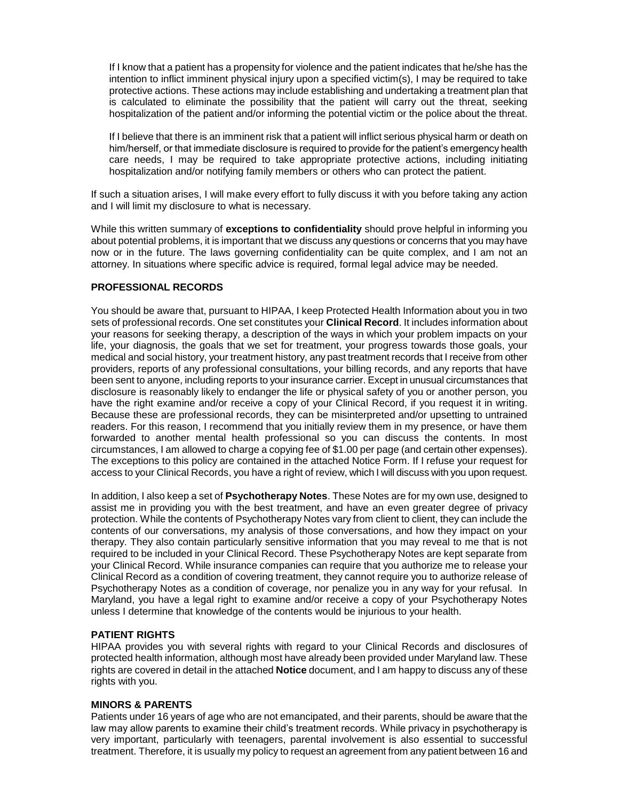If I know that a patient has a propensity for violence and the patient indicates that he/she has the intention to inflict imminent physical injury upon a specified victim(s), I may be required to take protective actions. These actions may include establishing and undertaking a treatment plan that is calculated to eliminate the possibility that the patient will carry out the threat, seeking hospitalization of the patient and/or informing the potential victim or the police about the threat.

If I believe that there is an imminent risk that a patient will inflict serious physical harm or death on him/herself, or that immediate disclosure is required to provide for the patient's emergency health care needs, I may be required to take appropriate protective actions, including initiating hospitalization and/or notifying family members or others who can protect the patient.

If such a situation arises, I will make every effort to fully discuss it with you before taking any action and I will limit my disclosure to what is necessary.

While this written summary of **exceptions to confidentiality** should prove helpful in informing you about potential problems, it is important that we discuss any questions or concerns that you may have now or in the future. The laws governing confidentiality can be quite complex, and I am not an attorney. In situations where specific advice is required, formal legal advice may be needed.

# **PROFESSIONAL RECORDS**

You should be aware that, pursuant to HIPAA, I keep Protected Health Information about you in two sets of professional records. One set constitutes your **Clinical Record**. It includes information about your reasons for seeking therapy, a description of the ways in which your problem impacts on your life, your diagnosis, the goals that we set for treatment, your progress towards those goals, your medical and social history, your treatment history, any past treatment records that I receive from other providers, reports of any professional consultations, your billing records, and any reports that have been sent to anyone, including reports to your insurance carrier. Except in unusual circumstances that disclosure is reasonably likely to endanger the life or physical safety of you or another person, you have the right examine and/or receive a copy of your Clinical Record, if you request it in writing. Because these are professional records, they can be misinterpreted and/or upsetting to untrained readers. For this reason, I recommend that you initially review them in my presence, or have them forwarded to another mental health professional so you can discuss the contents. In most circumstances, I am allowed to charge a copying fee of \$1.00 per page (and certain other expenses). The exceptions to this policy are contained in the attached Notice Form. If I refuse your request for access to your Clinical Records, you have a right of review, which I will discuss with you upon request.

In addition, I also keep a set of **Psychotherapy Notes**. These Notes are for my own use, designed to assist me in providing you with the best treatment, and have an even greater degree of privacy protection. While the contents of Psychotherapy Notes vary from client to client, they can include the contents of our conversations, my analysis of those conversations, and how they impact on your therapy. They also contain particularly sensitive information that you may reveal to me that is not required to be included in your Clinical Record. These Psychotherapy Notes are kept separate from your Clinical Record. While insurance companies can require that you authorize me to release your Clinical Record as a condition of covering treatment, they cannot require you to authorize release of Psychotherapy Notes as a condition of coverage, nor penalize you in any way for your refusal. In Maryland, you have a legal right to examine and/or receive a copy of your Psychotherapy Notes unless I determine that knowledge of the contents would be injurious to your health.

# **PATIENT RIGHTS**

HIPAA provides you with several rights with regard to your Clinical Records and disclosures of protected health information, although most have already been provided under Maryland law. These rights are covered in detail in the attached **Notice** document, and I am happy to discuss any of these rights with you.

#### **MINORS & PARENTS**

Patients under 16 years of age who are not emancipated, and their parents, should be aware that the law may allow parents to examine their child's treatment records. While privacy in psychotherapy is very important, particularly with teenagers, parental involvement is also essential to successful treatment. Therefore, it is usually my policy to request an agreement from any patient between 16 and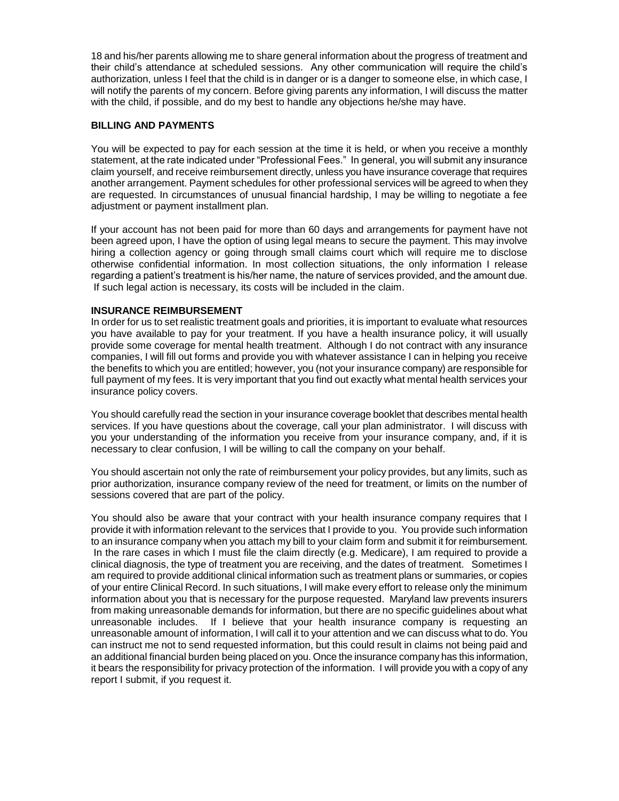18 and his/her parents allowing me to share general information about the progress of treatment and their child's attendance at scheduled sessions. Any other communication will require the child's authorization, unless I feel that the child is in danger or is a danger to someone else, in which case, I will notify the parents of my concern. Before giving parents any information, I will discuss the matter with the child, if possible, and do my best to handle any objections he/she may have.

# **BILLING AND PAYMENTS**

You will be expected to pay for each session at the time it is held, or when you receive a monthly statement, at the rate indicated under "Professional Fees." In general, you will submit any insurance claim yourself, and receive reimbursement directly, unless you have insurance coverage that requires another arrangement. Payment schedules for other professional services will be agreed to when they are requested. In circumstances of unusual financial hardship, I may be willing to negotiate a fee adjustment or payment installment plan.

If your account has not been paid for more than 60 days and arrangements for payment have not been agreed upon, I have the option of using legal means to secure the payment. This may involve hiring a collection agency or going through small claims court which will require me to disclose otherwise confidential information. In most collection situations, the only information I release regarding a patient's treatment is his/her name, the nature of services provided, and the amount due. If such legal action is necessary, its costs will be included in the claim.

# **INSURANCE REIMBURSEMENT**

In order for us to set realistic treatment goals and priorities, it is important to evaluate what resources you have available to pay for your treatment. If you have a health insurance policy, it will usually provide some coverage for mental health treatment. Although I do not contract with any insurance companies, I will fill out forms and provide you with whatever assistance I can in helping you receive the benefits to which you are entitled; however, you (not your insurance company) are responsible for full payment of my fees. It is very important that you find out exactly what mental health services your insurance policy covers.

You should carefully read the section in your insurance coverage booklet that describes mental health services. If you have questions about the coverage, call your plan administrator. I will discuss with you your understanding of the information you receive from your insurance company, and, if it is necessary to clear confusion, I will be willing to call the company on your behalf.

You should ascertain not only the rate of reimbursement your policy provides, but any limits, such as prior authorization, insurance company review of the need for treatment, or limits on the number of sessions covered that are part of the policy.

You should also be aware that your contract with your health insurance company requires that I provide it with information relevant to the services that I provide to you. You provide such information to an insurance company when you attach my bill to your claim form and submit it for reimbursement. In the rare cases in which I must file the claim directly (e.g. Medicare), I am required to provide a clinical diagnosis, the type of treatment you are receiving, and the dates of treatment. Sometimes I am required to provide additional clinical information such as treatment plans or summaries, or copies of your entire Clinical Record. In such situations, I will make every effort to release only the minimum information about you that is necessary for the purpose requested. Maryland law prevents insurers from making unreasonable demands for information, but there are no specific guidelines about what unreasonable includes. If I believe that your health insurance company is requesting an unreasonable amount of information, I will call it to your attention and we can discuss what to do. You can instruct me not to send requested information, but this could result in claims not being paid and an additional financial burden being placed on you. Once the insurance company has this information, it bears the responsibility for privacy protection of the information. I will provide you with a copy of any report I submit, if you request it.